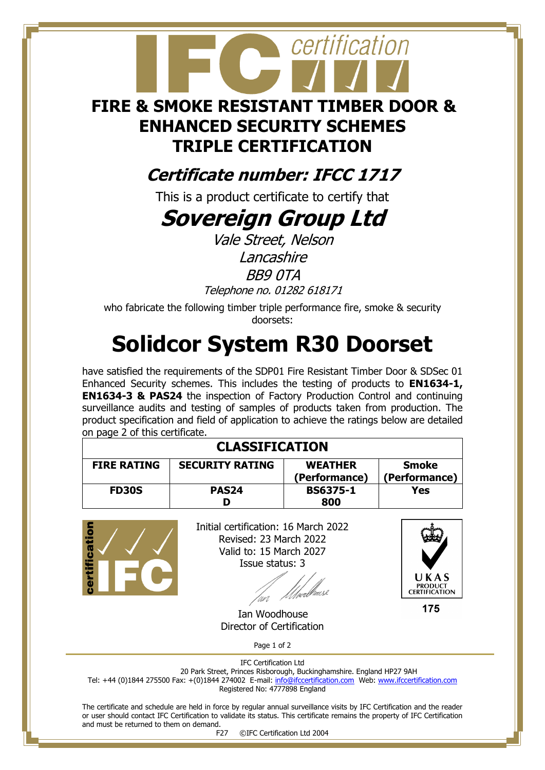# certification **FIRE & SMOKE RESISTANT TIMBER DOOR & ENHANCED SECURITY SCHEMES TRIPLE CERTIFICATION**

#### **Certificate number: IFCC 1717**

This is a product certificate to certify that

### **Sovereign Group Ltd**

Vale Street, Nelson **Lancashire** BB9 0TA Telephone no. 01282 618171

who fabricate the following timber triple performance fire, smoke & security doorsets:

## **Solidcor System R30 Doorset**

have satisfied the requirements of the SDP01 Fire Resistant Timber Door & SDSec 01 Enhanced Security schemes. This includes the testing of products to **EN1634-1, EN1634-3 & PAS24** the inspection of Factory Production Control and continuing surveillance audits and testing of samples of products taken from production. The product specification and field of application to achieve the ratings below are detailed on page 2 of this certificate.

| <b>CLASSIFICATION</b> |                        |                                 |                               |  |
|-----------------------|------------------------|---------------------------------|-------------------------------|--|
| <b>FIRE RATING</b>    | <b>SECURITY RATING</b> | <b>WEATHER</b><br>(Performance) | <b>Smoke</b><br>(Performance) |  |
| <b>FD30S</b>          | PAS <sub>24</sub>      | <b>BS6375-1</b><br>800          | Yes                           |  |



Initial certification: 16 March 2022 Revised: 23 March 2022 Valid to: 15 March 2027 Issue status: 3



175

 Ian Woodhouse Director of Certification

Page 1 of 2

IFC Certification Ltd 20 Park Street, Princes Risborough, Buckinghamshire. England HP27 9AH Tel: +44 (0)1844 275500 Fax: +(0)1844 274002 E-mail[: info@ifccertification.com](mailto:info@ifccertification.com) Web: [www.ifccertification.com](http://www.ifccertification.com/) Registered No: 4777898 England

The certificate and schedule are held in force by regular annual surveillance visits by IFC Certification and the reader or user should contact IFC Certification to validate its status. This certificate remains the property of IFC Certification and must be returned to them on demand.

F27 ©IFC Certification Ltd 2004